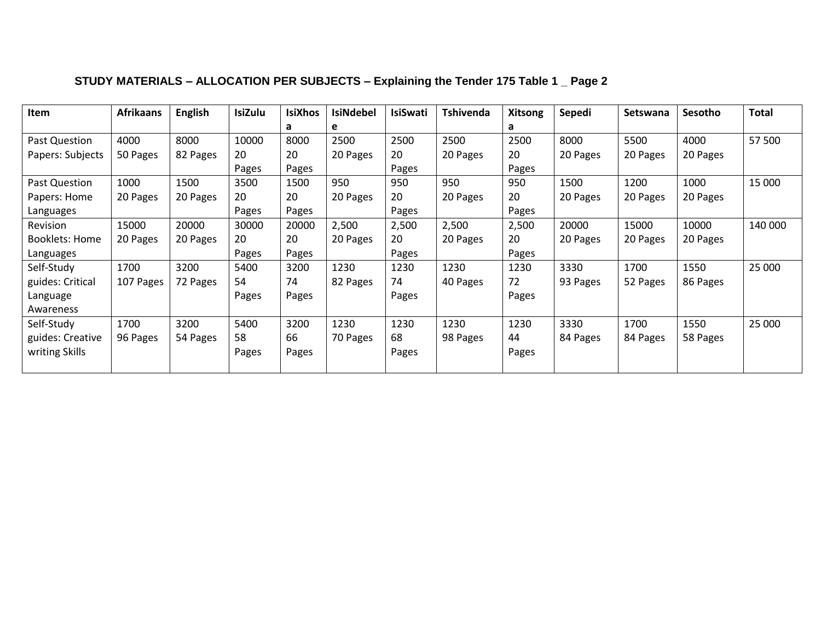| Item                  | <b>Afrikaans</b> | <b>English</b> | <b>IsiZulu</b> | <b>IsiXhos</b> | <b>IsiNdebel</b> | <b>IsiSwati</b> | <b>Tshivenda</b> | <b>Xitsong</b> | Sepedi   | Setswana | Sesotho  | <b>Total</b> |
|-----------------------|------------------|----------------|----------------|----------------|------------------|-----------------|------------------|----------------|----------|----------|----------|--------------|
|                       |                  |                |                | а              | e                |                 |                  | a              |          |          |          |              |
| Past Question         | 4000             | 8000           | 10000          | 8000           | 2500             | 2500            | 2500             | 2500           | 8000     | 5500     | 4000     | 57 500       |
| Papers: Subjects      | 50 Pages         | 82 Pages       | 20             | 20             | 20 Pages         | 20              | 20 Pages         | 20             | 20 Pages | 20 Pages | 20 Pages |              |
|                       |                  |                | Pages          | Pages          |                  | Pages           |                  | Pages          |          |          |          |              |
| Past Question         | 1000             | 1500           | 3500           | 1500           | 950              | 950             | 950              | 950            | 1500     | 1200     | 1000     | 15 000       |
| Papers: Home          | 20 Pages         | 20 Pages       | 20             | 20             | 20 Pages         | 20              | 20 Pages         | 20             | 20 Pages | 20 Pages | 20 Pages |              |
| Languages             |                  |                | Pages          | Pages          |                  | Pages           |                  | Pages          |          |          |          |              |
| <b>Revision</b>       | 15000            | 20000          | 30000          | 20000          | 2,500            | 2,500           | 2,500            | 2,500          | 20000    | 15000    | 10000    | 140 000      |
| <b>Booklets: Home</b> | 20 Pages         | 20 Pages       | 20             | 20             | 20 Pages         | 20              | 20 Pages         | 20             | 20 Pages | 20 Pages | 20 Pages |              |
| Languages             |                  |                | Pages          | Pages          |                  | Pages           |                  | Pages          |          |          |          |              |
| Self-Study            | 1700             | 3200           | 5400           | 3200           | 1230             | 1230            | 1230             | 1230           | 3330     | 1700     | 1550     | 25 000       |
| guides: Critical      | 107 Pages        | 72 Pages       | 54             | 74             | 82 Pages         | 74              | 40 Pages         | 72             | 93 Pages | 52 Pages | 86 Pages |              |
| Language              |                  |                | Pages          | Pages          |                  | Pages           |                  | Pages          |          |          |          |              |
| Awareness             |                  |                |                |                |                  |                 |                  |                |          |          |          |              |
| Self-Study            | 1700             | 3200           | 5400           | 3200           | 1230             | 1230            | 1230             | 1230           | 3330     | 1700     | 1550     | 25 000       |
| guides: Creative      | 96 Pages         | 54 Pages       | 58             | 66             | 70 Pages         | 68              | 98 Pages         | 44             | 84 Pages | 84 Pages | 58 Pages |              |
| writing Skills        |                  |                | Pages          | Pages          |                  | Pages           |                  | Pages          |          |          |          |              |
|                       |                  |                |                |                |                  |                 |                  |                |          |          |          |              |

## **STUDY MATERIALS – ALLOCATION PER SUBJECTS – Explaining the Tender 175 Table 1 \_ Page 2**